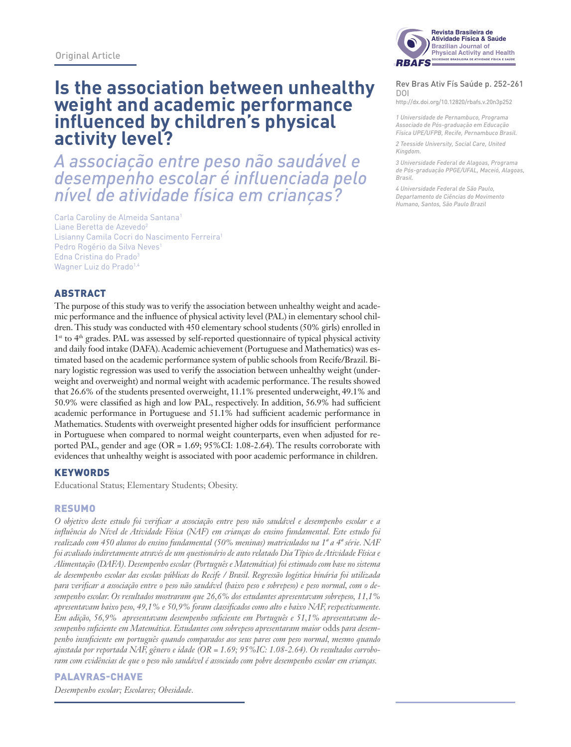# **Is the association between unhealthy weight and academic performance influenced by children's physical activity level?**

*A associação entre peso não saudável e desempenho escolar é influenciada pelo nível de atividade física em crianças?*

Carla Caroliny de Almeida Santana1 Liane Beretta de Azevedo<sup>2</sup> Lisianny Camila Cocri do Nascimento Ferreira1 Pedro Rogério da Silva Neves1 Edna Cristina do Prado<sup>3</sup> Wagner Luiz do Prado<sup>1,4</sup>

## **ABSTRACT**

The purpose of this study was to verify the association between unhealthy weight and academic performance and the influence of physical activity level (PAL) in elementary school children. This study was conducted with 450 elementary school students (50% girls) enrolled in 1st to 4th grades. PAL was assessed by self-reported questionnaire of typical physical activity and daily food intake (DAFA). Academic achievement (Portuguese and Mathematics) was estimated based on the academic performance system of public schools from Recife/Brazil. Binary logistic regression was used to verify the association between unhealthy weight (underweight and overweight) and normal weight with academic performance. The results showed that 26.6% of the students presented overweight, 11.1% presented underweight, 49.1% and 50.9% were classified as high and low PAL, respectively. In addition, 56.9% had sufficient academic performance in Portuguese and 51.1% had sufficient academic performance in Mathematics. Students with overweight presented higher odds for insufficient performance in Portuguese when compared to normal weight counterparts, even when adjusted for reported PAL, gender and age ( $OR = 1.69$ ; 95%CI: 1.08-2.64). The results corroborate with evidences that unhealthy weight is associated with poor academic performance in children.

### **KEYWORDS**

Educational Status; Elementary Students; Obesity.

#### Resumo

*O objetivo deste estudo foi verificar a associação entre peso não saudável e desempenho escolar e a influência do Nível de Atividade Física (NAF) em crianças do ensino fundamental. Este estudo foi realizado com 450 alunos do ensino fundamental (50% meninas) matriculados na 1ª a 4ª série. NAF foi avaliado indiretamente através de um questionário de auto relatado Dia Típico de Atividade Física e Alimentação (DAFA). Desempenho escolar (Português e Matemática) foi estimado com base no sistema de desempenho escolar das escolas públicas do Recife / Brasil. Regressão logística binária foi utilizada para verificar a associação entre o peso não saudável (baixo peso e sobrepeso) e peso normal, com o desempenho escolar. Os resultados mostraram que 26,6% dos estudantes apresentavam sobrepeso, 11,1% apresentavam baixo peso, 49,1% e 50,9% foram classificados como alto e baixo NAF, respectivamente. Em adição, 56,9% apresentavam desempenho suficiente em Português e 51,1% apresentavam desempenho suficiente em Matemática. Estudantes com sobrepeso apresentaram maior* odds *para desempenho insuficiente em português quando comparados aos seus pares com peso normal, mesmo quando ajustada por reportada NAF, gênero e idade (OR = 1.69; 95%IC: 1.08-2.64). Os resultados corroboram com evidências de que o peso não saudável é associado com pobre desempenho escolar em crianças.* 

### Palavras-chave

*Desempenho escolar; Escolares; Obesidade.*



#### **Rev Bras Ativ Fís Saúde p. 252-261<br>DOI** DOI

**Brazilian Journal of Physical Activity and Health** http://dx.doi.org/10.12820/rbafs.v.20n3p252

*RBAFS 1 Universidade de Pernambuco, Programa Associado de Pós-graduação em Educação Física UPE/UFPB, Recife, Pernambuco Brasil.*

*2 Teesside University, Social Care, United Kingdom.*

*3 Universidade Federal de Alagoas, Programa de Pós-graduação PPGE/UFAL, Maceió, Alagoas, Brasil.*

*4 Universidade Federal de São Paulo, Departamento de Ciências do Movimento Humano, Santos, São Paulo Brazil*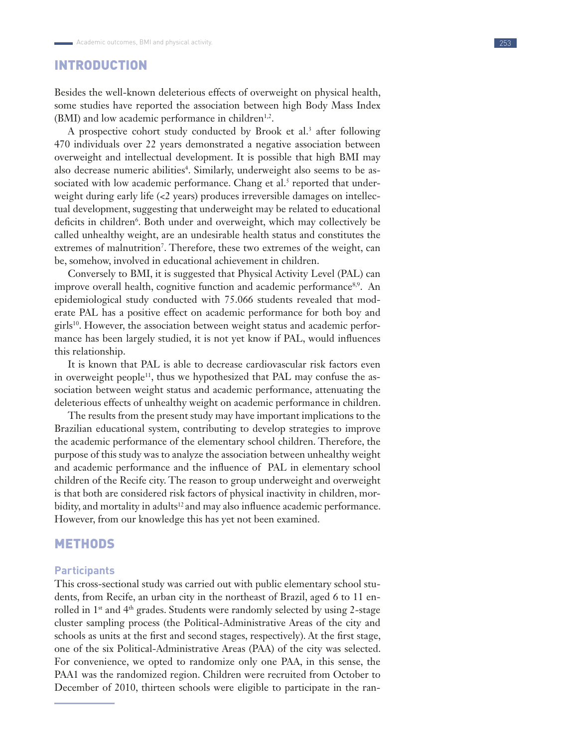# INTRODUCTION

Besides the well-known deleterious effects of overweight on physical health, some studies have reported the association between high Body Mass Index (BMI) and low academic performance in children<sup>1,2</sup>.

A prospective cohort study conducted by Brook et al.<sup>3</sup> after following 470 individuals over 22 years demonstrated a negative association between overweight and intellectual development. It is possible that high BMI may also decrease numeric abilities<sup>4</sup>. Similarly, underweight also seems to be associated with low academic performance. Chang et al.<sup>5</sup> reported that underweight during early life (<2 years) produces irreversible damages on intellectual development, suggesting that underweight may be related to educational deficits in children<sup>6</sup>. Both under and overweight, which may collectively be called unhealthy weight, are an undesirable health status and constitutes the extremes of malnutrition<sup>7</sup>. Therefore, these two extremes of the weight, can be, somehow, involved in educational achievement in children.

Conversely to BMI, it is suggested that Physical Activity Level (PAL) can improve overall health, cognitive function and academic performance<sup>8,9</sup>. An epidemiological study conducted with 75.066 students revealed that moderate PAL has a positive effect on academic performance for both boy and girls<sup>10</sup>. However, the association between weight status and academic performance has been largely studied, it is not yet know if PAL, would influences this relationship.

It is known that PAL is able to decrease cardiovascular risk factors even in overweight people<sup>11</sup>, thus we hypothesized that PAL may confuse the association between weight status and academic performance, attenuating the deleterious effects of unhealthy weight on academic performance in children.

The results from the present study may have important implications to the Brazilian educational system, contributing to develop strategies to improve the academic performance of the elementary school children. Therefore, the purpose of this study was to analyze the association between unhealthy weight and academic performance and the influence of PAL in elementary school children of the Recife city. The reason to group underweight and overweight is that both are considered risk factors of physical inactivity in children, morbidity, and mortality in adults<sup>12</sup> and may also influence academic performance. However, from our knowledge this has yet not been examined.

## METHODS

#### **Participants**

This cross-sectional study was carried out with public elementary school students, from Recife, an urban city in the northeast of Brazil, aged 6 to 11 enrolled in 1st and 4th grades. Students were randomly selected by using 2-stage cluster sampling process (the Political-Administrative Areas of the city and schools as units at the first and second stages, respectively). At the first stage, one of the six Political-Administrative Areas (PAA) of the city was selected. For convenience, we opted to randomize only one PAA, in this sense, the PAA1 was the randomized region. Children were recruited from October to December of 2010, thirteen schools were eligible to participate in the ran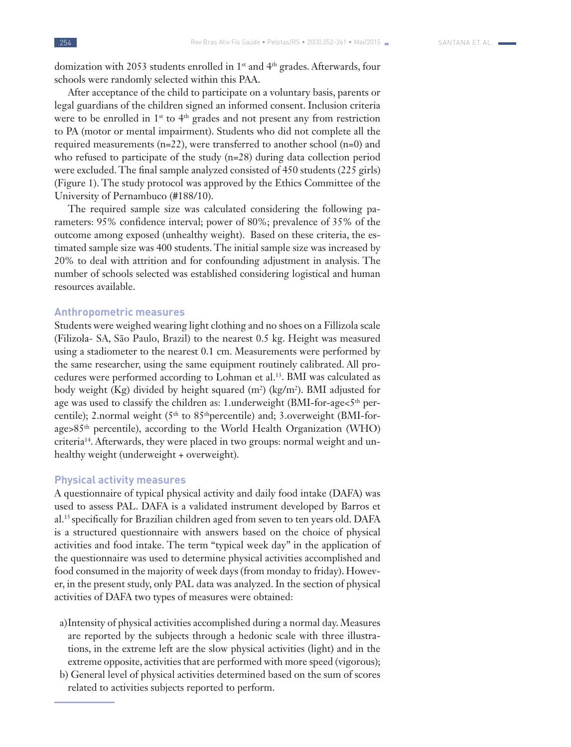domization with 2053 students enrolled in 1<sup>st</sup> and 4<sup>th</sup> grades. Afterwards, four schools were randomly selected within this PAA.

After acceptance of the child to participate on a voluntary basis, parents or legal guardians of the children signed an informed consent. Inclusion criteria were to be enrolled in 1<sup>st</sup> to 4<sup>th</sup> grades and not present any from restriction to PA (motor or mental impairment). Students who did not complete all the required measurements (n=22), were transferred to another school (n=0) and who refused to participate of the study (n=28) during data collection period were excluded. The final sample analyzed consisted of 450 students (225 girls) (Figure 1). The study protocol was approved by the Ethics Committee of the University of Pernambuco (#188/10).

The required sample size was calculated considering the following parameters: 95% confidence interval; power of 80%; prevalence of 35% of the outcome among exposed (unhealthy weight). Based on these criteria, the estimated sample size was 400 students. The initial sample size was increased by 20% to deal with attrition and for confounding adjustment in analysis. The number of schools selected was established considering logistical and human resources available.

#### **Anthropometric measures**

Students were weighed wearing light clothing and no shoes on a Fillizola scale (Filizola- SA, São Paulo, Brazil) to the nearest 0.5 kg. Height was measured using a stadiometer to the nearest 0.1 cm. Measurements were performed by the same researcher, using the same equipment routinely calibrated. All procedures were performed according to Lohman et al.13. BMI was calculated as body weight (Kg) divided by height squared (m<sup>2</sup>) (kg/m<sup>2</sup>). BMI adjusted for age was used to classify the children as: 1.underweight (BMI-for-age<5<sup>th</sup> percentile); 2.normal weight (5<sup>th</sup> to 85<sup>th</sup>percentile) and; 3.overweight (BMI-forage>85th percentile), according to the World Health Organization (WHO) criteria<sup>14</sup>. Afterwards, they were placed in two groups: normal weight and unhealthy weight (underweight + overweight).

#### **Physical activity measures**

A questionnaire of typical physical activity and daily food intake (DAFA) was used to assess PAL. DAFA is a validated instrument developed by Barros et al.15 specifically for Brazilian children aged from seven to ten years old. DAFA is a structured questionnaire with answers based on the choice of physical activities and food intake. The term "typical week day" in the application of the questionnaire was used to determine physical activities accomplished and food consumed in the majority of week days (from monday to friday). However, in the present study, only PAL data was analyzed. In the section of physical activities of DAFA two types of measures were obtained:

- a)Intensity of physical activities accomplished during a normal day. Measures are reported by the subjects through a hedonic scale with three illustrations, in the extreme left are the slow physical activities (light) and in the extreme opposite, activities that are performed with more speed (vigorous);
- b) General level of physical activities determined based on the sum of scores related to activities subjects reported to perform.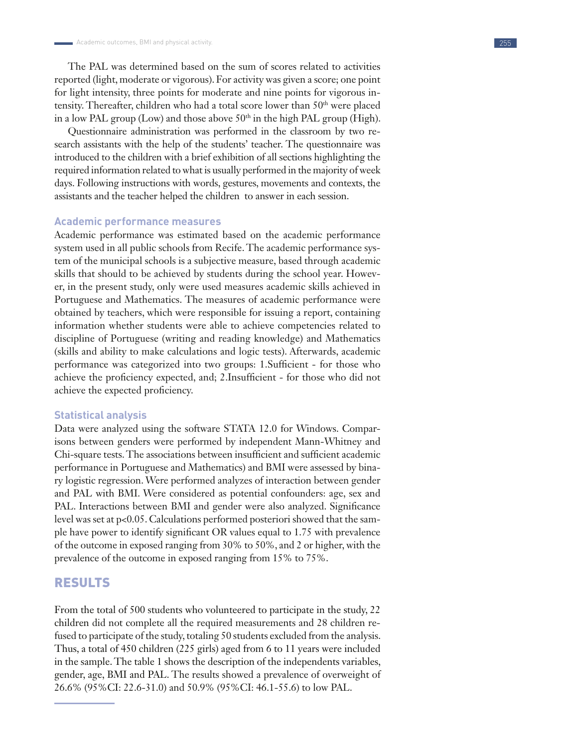The PAL was determined based on the sum of scores related to activities reported (light, moderate or vigorous). For activity was given a score; one point for light intensity, three points for moderate and nine points for vigorous intensity. Thereafter, children who had a total score lower than 50<sup>th</sup> were placed in a low PAL group (Low) and those above  $50<sup>th</sup>$  in the high PAL group (High).

Questionnaire administration was performed in the classroom by two research assistants with the help of the students' teacher. The questionnaire was introduced to the children with a brief exhibition of all sections highlighting the required information related to what is usually performed in the majority of week days. Following instructions with words, gestures, movements and contexts, the assistants and the teacher helped the children to answer in each session.

#### **Academic performance measures**

Academic performance was estimated based on the academic performance system used in all public schools from Recife. The academic performance system of the municipal schools is a subjective measure, based through academic skills that should to be achieved by students during the school year. However, in the present study, only were used measures academic skills achieved in Portuguese and Mathematics. The measures of academic performance were obtained by teachers, which were responsible for issuing a report, containing information whether students were able to achieve competencies related to discipline of Portuguese (writing and reading knowledge) and Mathematics (skills and ability to make calculations and logic tests). Afterwards, academic performance was categorized into two groups: 1.Sufficient - for those who achieve the proficiency expected, and; 2.Insufficient - for those who did not achieve the expected proficiency.

#### **Statistical analysis**

Data were analyzed using the software STATA 12.0 for Windows. Comparisons between genders were performed by independent Mann-Whitney and Chi-square tests. The associations between insufficient and sufficient academic performance in Portuguese and Mathematics) and BMI were assessed by binary logistic regression. Were performed analyzes of interaction between gender and PAL with BMI. Were considered as potential confounders: age, sex and PAL. Interactions between BMI and gender were also analyzed. Significance level was set at p<0.05. Calculations performed posteriori showed that the sample have power to identify significant OR values equal to 1.75 with prevalence of the outcome in exposed ranging from 30% to 50%, and 2 or higher, with the prevalence of the outcome in exposed ranging from 15% to 75%.

## RESULTS

From the total of 500 students who volunteered to participate in the study, 22 children did not complete all the required measurements and 28 children refused to participate of the study, totaling 50 students excluded from the analysis. Thus, a total of 450 children (225 girls) aged from 6 to 11 years were included in the sample. The table 1 shows the description of the independents variables, gender, age, BMI and PAL. The results showed a prevalence of overweight of 26.6% (95%CI: 22.6-31.0) and 50.9% (95%CI: 46.1-55.6) to low PAL.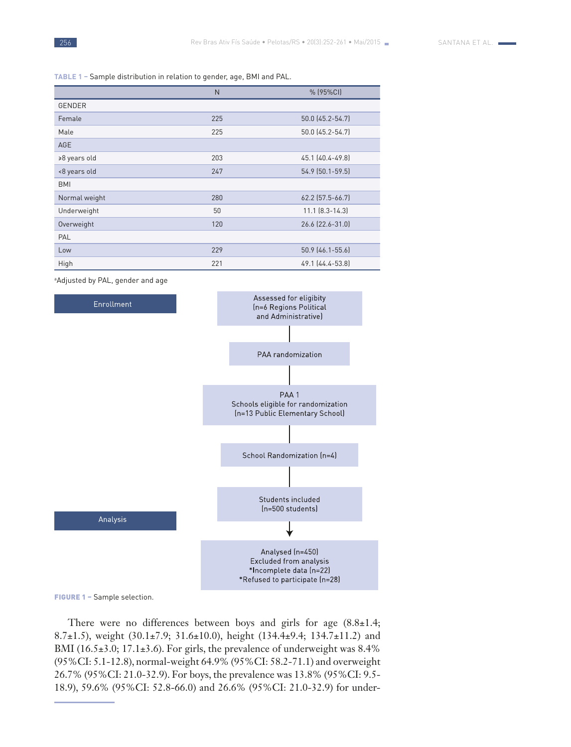**Table 1 –** Sample distribution in relation to gender, age, BMI and PAL.

|               | N   | % (95%CI)             |
|---------------|-----|-----------------------|
| <b>GENDER</b> |     |                       |
| Female        | 225 | 50.0 (45.2-54.7)      |
| Male          | 225 | 50.0 (45.2-54.7)      |
| <b>AGE</b>    |     |                       |
| ≥8 years old  | 203 | 45.1 (40.4-49.8)      |
| <8 years old  | 247 | 54.9 (50.1-59.5)      |
| <b>BMI</b>    |     |                       |
| Normal weight | 280 | 62.2 (57.5-66.7)      |
| Underweight   | 50  | $11.1$ $[8.3 - 14.3]$ |
| Overweight    | 120 | 26.6 (22.6-31.0)      |
| PAL           |     |                       |
| Low           | 229 | 50.9 (46.1-55.6)      |
| High          | 221 | 49.1 (44.4-53.8)      |

a Adjusted by PAL, gender and age



FIGURE 1 - Sample selection.

There were no differences between boys and girls for age  $(8.8\pm1.4;$ 8.7±1.5), weight (30.1±7.9; 31.6±10.0), height (134.4±9.4; 134.7±11.2) and BMI (16.5±3.0; 17.1±3.6). For girls, the prevalence of underweight was 8.4% (95%CI: 5.1-12.8), normal-weight 64.9% (95%CI: 58.2-71.1) and overweight 26.7% (95%CI: 21.0-32.9). For boys, the prevalence was 13.8% (95%CI: 9.5- 18.9), 59.6% (95%CI: 52.8-66.0) and 26.6% (95%CI: 21.0-32.9) for under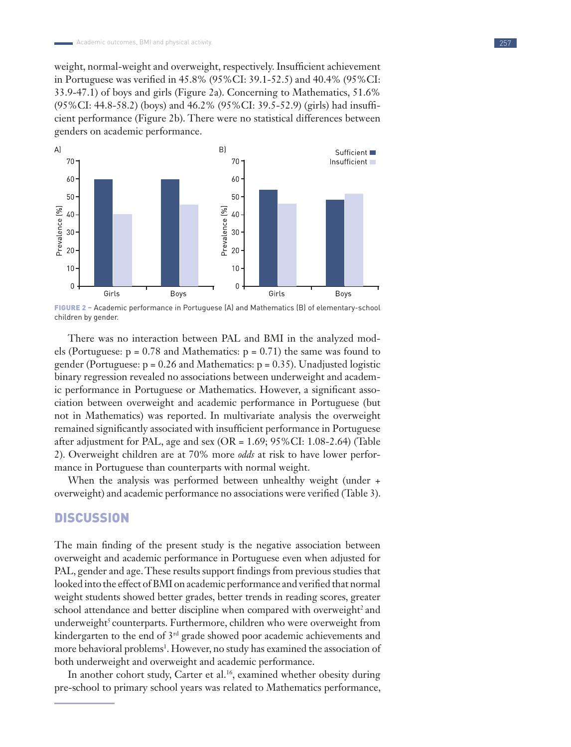weight, normal-weight and overweight, respectively. Insufficient achievement in Portuguese was verified in 45.8% (95%CI: 39.1-52.5) and 40.4% (95%CI: 33.9-47.1) of boys and girls (Figure 2a). Concerning to Mathematics, 51.6% (95%CI: 44.8-58.2) (boys) and 46.2% (95%CI: 39.5-52.9) (girls) had insufficient performance (Figure 2b). There were no statistical differences between genders on academic performance.



Figure 2 – Academic performance in Portuguese (A) and Mathematics (B) of elementary-school children by gender.

There was no interaction between PAL and BMI in the analyzed models (Portuguese:  $p = 0.78$  and Mathematics:  $p = 0.71$ ) the same was found to gender (Portuguese:  $p = 0.26$  and Mathematics:  $p = 0.35$ ). Unadjusted logistic binary regression revealed no associations between underweight and academic performance in Portuguese or Mathematics. However, a significant association between overweight and academic performance in Portuguese (but not in Mathematics) was reported. In multivariate analysis the overweight remained significantly associated with insufficient performance in Portuguese after adjustment for PAL, age and sex (OR = 1.69; 95%CI: 1.08-2.64) (Table 2). Overweight children are at 70% more *odds* at risk to have lower performance in Portuguese than counterparts with normal weight.

When the analysis was performed between unhealthy weight (under + overweight) and academic performance no associations were verified (Table 3).

## **DISCUSSION**

The main finding of the present study is the negative association between overweight and academic performance in Portuguese even when adjusted for PAL, gender and age. These results support findings from previous studies that looked into the effect of BMI on academic performance and verified that normal weight students showed better grades, better trends in reading scores, greater school attendance and better discipline when compared with overweight<sup>2</sup> and underweight<sup>5</sup> counterparts. Furthermore, children who were overweight from kindergarten to the end of 3<sup>rd</sup> grade showed poor academic achievements and more behavioral problems<sup>1</sup>. However, no study has examined the association of both underweight and overweight and academic performance.

In another cohort study, Carter et al.<sup>16</sup>, examined whether obesity during pre-school to primary school years was related to Mathematics performance,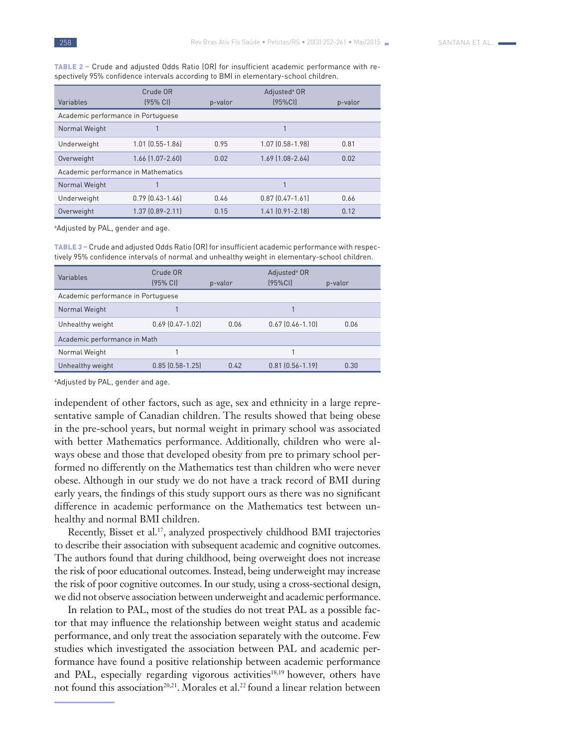Table 2 – Crude and adjusted Odds Ratio (OR) for insufficient academic performance with respectively 95% confidence intervals according to BMI in elementary-school children.

|                                     | Crude OR               |         | Adjusted <sup>a</sup> OR |         |  |  |  |
|-------------------------------------|------------------------|---------|--------------------------|---------|--|--|--|
| Variables                           | $(95%$ CII             | p-valor | (95%CI)                  | p-valor |  |  |  |
| Academic performance in Portuguese  |                        |         |                          |         |  |  |  |
| Normal Weight                       |                        |         |                          |         |  |  |  |
| Underweight                         | $1.01$ $(0.55 - 1.86)$ | 0.95    | $1.07$ $(0.58 - 1.98)$   | 0.81    |  |  |  |
| Overweight                          | 1.66 (1.07-2.60)       | 0.02    | $1.69$ [1.08-2.64]       | 0.02    |  |  |  |
| Academic performance in Mathematics |                        |         |                          |         |  |  |  |
| Normal Weight                       |                        |         |                          |         |  |  |  |
| Underweight                         | $0.79$ $(0.43 - 1.46)$ | 0.46    | $0.87$ $(0.47 - 1.61)$   | 0.66    |  |  |  |
| Overweight                          | $1.37$ $[0.89 - 2.11]$ | 0.15    | $1.41$ $[0.91 - 2.18]$   | 0.12    |  |  |  |

a Adjusted by PAL, gender and age.

Table 3 – Crude and adjusted Odds Ratio (OR) for insufficient academic performance with respectively 95% confidence intervals of normal and unhealthy weight in elementary-school children.

| Variables                          | Crude OR<br>$(95%$ CII | p-valor | Adjusted <sup>a</sup> OR<br>(95%CI) | p-valor |  |  |  |
|------------------------------------|------------------------|---------|-------------------------------------|---------|--|--|--|
| Academic performance in Portuguese |                        |         |                                     |         |  |  |  |
| Normal Weight                      |                        |         |                                     |         |  |  |  |
| Unhealthy weight                   | $0.69$ $[0.47 - 1.02]$ | 0.06    | $0.67$ $[0.46 - 1.10]$              | 0.06    |  |  |  |
| Academic performance in Math       |                        |         |                                     |         |  |  |  |
| Normal Weight                      |                        |         |                                     |         |  |  |  |
| Unhealthy weight                   | $0.85$ $(0.58 - 1.25)$ | 0.42    | $0.81$ $[0.56 - 1.19]$              | 0.30    |  |  |  |

a Adjusted by PAL, gender and age.

independent of other factors, such as age, sex and ethnicity in a large representative sample of Canadian children. The results showed that being obese in the pre-school years, but normal weight in primary school was associated with better Mathematics performance. Additionally, children who were always obese and those that developed obesity from pre to primary school performed no differently on the Mathematics test than children who were never obese. Although in our study we do not have a track record of BMI during early years, the findings of this study support ours as there was no significant difference in academic performance on the Mathematics test between unhealthy and normal BMI children.

Recently, Bisset et al.<sup>17</sup>, analyzed prospectively childhood BMI trajectories to describe their association with subsequent academic and cognitive outcomes. The authors found that during childhood, being overweight does not increase the risk of poor educational outcomes. Instead, being underweight may increase the risk of poor cognitive outcomes. In our study, using a cross-sectional design, we did not observe association between underweight and academic performance.

In relation to PAL, most of the studies do not treat PAL as a possible factor that may influence the relationship between weight status and academic performance, and only treat the association separately with the outcome. Few studies which investigated the association between PAL and academic performance have found a positive relationship between academic performance and PAL, especially regarding vigorous activities<sup>18,19</sup> however, others have not found this association<sup>20,21</sup>. Morales et al.<sup>22</sup> found a linear relation between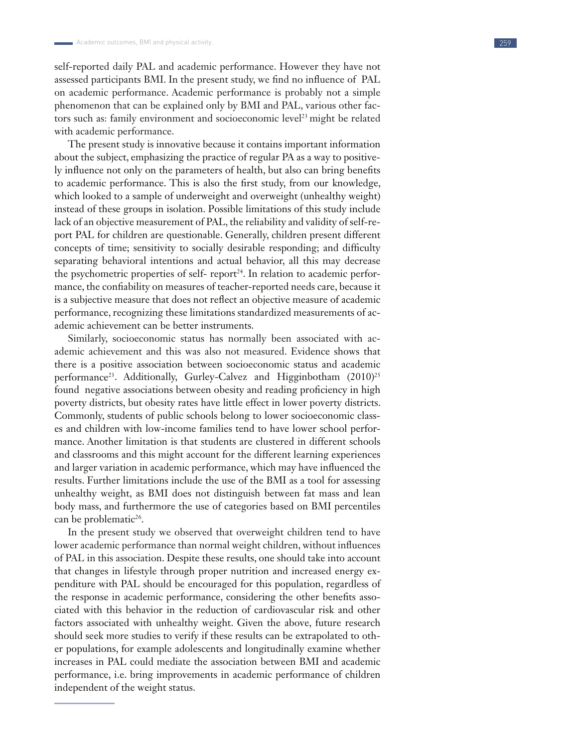self-reported daily PAL and academic performance. However they have not assessed participants BMI. In the present study, we find no influence of PAL on academic performance. Academic performance is probably not a simple phenomenon that can be explained only by BMI and PAL, various other fac tors such as: family environment and socioeconomic level<sup>23</sup> might be related with academic performance.

The present study is innovative because it contains important information about the subject, emphasizing the practice of regular PA as a way to positive ly influence not only on the parameters of health, but also can bring benefits to academic performance. This is also the first study, from our knowledge, which looked to a sample of underweight and overweight (unhealthy weight) instead of these groups in isolation. Possible limitations of this study include lack of an objective measurement of PAL, the reliability and validity of self-re port PAL for children are questionable. Generally, children present different concepts of time; sensitivity to socially desirable responding; and difficulty separating behavioral intentions and actual behavior, all this may decrease the psychometric properties of self- report<sup>24</sup>. In relation to academic performance, the confiability on measures of teacher-reported needs care, because it is a subjective measure that does not reflect an objective measure of academic performance, recognizing these limitations standardized measurements of ac ademic achievement can be better instruments.

Similarly, socioeconomic status has normally been associated with ac ademic achievement and this was also not measured. Evidence shows that there is a positive association between socioeconomic status and academic performance<sup>23</sup>. Additionally, Gurley-Calvez and Higginbotham (2010)<sup>25</sup> found negative associations between obesity and reading proficiency in high poverty districts, but obesity rates have little effect in lower poverty districts. Commonly, students of public schools belong to lower socioeconomic class es and children with low-income families tend to have lower school perfor mance. Another limitation is that students are clustered in different schools and classrooms and this might account for the different learning experiences and larger variation in academic performance, which may have influenced the results. Further limitations include the use of the BMI as a tool for assessing unhealthy weight, as BMI does not distinguish between fat mass and lean body mass, and furthermore the use of categories based on BMI percentiles can be problematic<sup>26</sup>.

In the present study we observed that overweight children tend to have lower academic performance than normal weight children, without influences of PAL in this association. Despite these results, one should take into account that changes in lifestyle through proper nutrition and increased energy ex penditure with PAL should be encouraged for this population, regardless of the response in academic performance, considering the other benefits asso ciated with this behavior in the reduction of cardiovascular risk and other factors associated with unhealthy weight. Given the above, future research should seek more studies to verify if these results can be extrapolated to oth er populations, for example adolescents and longitudinally examine whether increases in PAL could mediate the association between BMI and academic performance, i.e. bring improvements in academic performance of children independent of the weight status.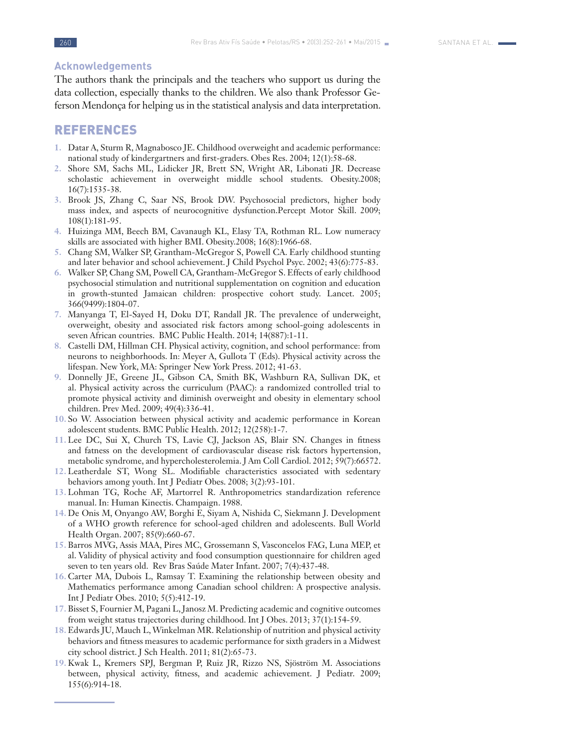## **Acknowledgements**

The authors thank the principals and the teachers who support us during the data collection, especially thanks to the children. We also thank Professor Geferson Mendonça for helping us in the statistical analysis and data interpretation.

## REFERENCES

- **1.** Datar A, Sturm R, Magnabosco JE. Childhood overweight and academic performance: national study of kindergartners and first-graders. Obes Res. 2004; 12(1):58-68.
- **2.** Shore SM, Sachs ML, Lidicker JR, Brett SN, Wright AR, Libonati JR. Decrease scholastic achievement in overweight middle school students. Obesity.2008; 16(7):1535-38.
- **3.** Brook JS, Zhang C, Saar NS, Brook DW. Psychosocial predictors, higher body mass index, and aspects of neurocognitive dysfunction.Percept Motor Skill. 2009; 108(1):181-95.
- **4.** Huizinga MM, Beech BM, Cavanaugh KL, Elasy TA, Rothman RL. Low numeracy skills are associated with higher BMI. Obesity.2008; 16(8):1966-68.
- **5.** Chang SM, Walker SP, Grantham-McGregor S, Powell CA. Early childhood stunting and later behavior and school achievement. J Child Psychol Psyc. 2002; 43(6):775-83.
- **6.** Walker SP, Chang SM, Powell CA, Grantham-McGregor S. Effects of early childhood psychosocial stimulation and nutritional supplementation on cognition and education in growth-stunted Jamaican children: prospective cohort study. Lancet. 2005; 366(9499):1804-07.
- **7.** Manyanga T, El-Sayed H, Doku DT, Randall JR. The prevalence of underweight, overweight, obesity and associated risk factors among school-going adolescents in seven African countries. BMC Public Health. 2014; 14(887):1-11.
- **8.** Castelli DM, Hillman CH. Physical activity, cognition, and school performance: from neurons to neighborhoods. In: Meyer A, Gullota T (Eds). Physical activity across the lifespan. New York, MA: Springer New York Press. 2012; 41-63.
- **9.** Donnelly JE, Greene JL, Gibson CA, Smith BK, Washburn RA, Sullivan DK, et al. Physical activity across the curriculum (PAAC): a randomized controlled trial to promote physical activity and diminish overweight and obesity in elementary school children. Prev Med. 2009; 49(4):336-41.
- **10.** So W. Association between physical activity and academic performance in Korean adolescent students. BMC Public Health. 2012; 12(258):1-7.
- **11.** Lee DC, Sui X, Church TS, Lavie CJ, Jackson AS, Blair SN. Changes in fitness and fatness on the development of cardiovascular disease risk factors hypertension, metabolic syndrome, and hypercholesterolemia. J Am Coll Cardiol. 2012; 59(7):66572.
- **12.** Leatherdale ST, Wong SL. Modifiable characteristics associated with sedentary behaviors among youth. Int J Pediatr Obes. 2008; 3(2):93-101.
- **13.** Lohman TG, Roche AF, Martorrel R. Anthropometrics standardization reference manual. In: Human Kinectis. Champaign. 1988.
- **14.** De Onis M, Onyango AW, Borghi E, Siyam A, Nishida C, Siekmann J. Development of a WHO growth reference for school-aged children and adolescents. Bull World Health Organ. 2007; 85(9):660-67.
- **15.** Barros MVG, Assis MAA, Pires MC, Grossemann S, Vasconcelos FAG, Luna MEP, et al. Validity of physical activity and food consumption questionnaire for children aged seven to ten years old. Rev Bras Saúde Mater Infant. 2007; 7(4):437-48.
- **16.** Carter MA, Dubois L, Ramsay T. Examining the relationship between obesity and Mathematics performance among Canadian school children: A prospective analysis. Int J Pediatr Obes. 2010; 5(5):412-19.
- **17.** Bisset S, Fournier M, Pagani L, Janosz M. Predicting academic and cognitive outcomes from weight status trajectories during childhood. Int J Obes. 2013; 37(1):154-59.
- **18.** Edwards JU, Mauch L, Winkelman MR. Relationship of nutrition and physical activity behaviors and fitness measures to academic performance for sixth graders in a Midwest city school district. J Sch Health. 2011; 81(2):65-73.
- **19.** Kwak L, Kremers SPJ, Bergman P, Ruiz JR, Rizzo NS, Sjöström M. Associations between, physical activity, fitness, and academic achievement. J Pediatr. 2009; 155(6):914-18.